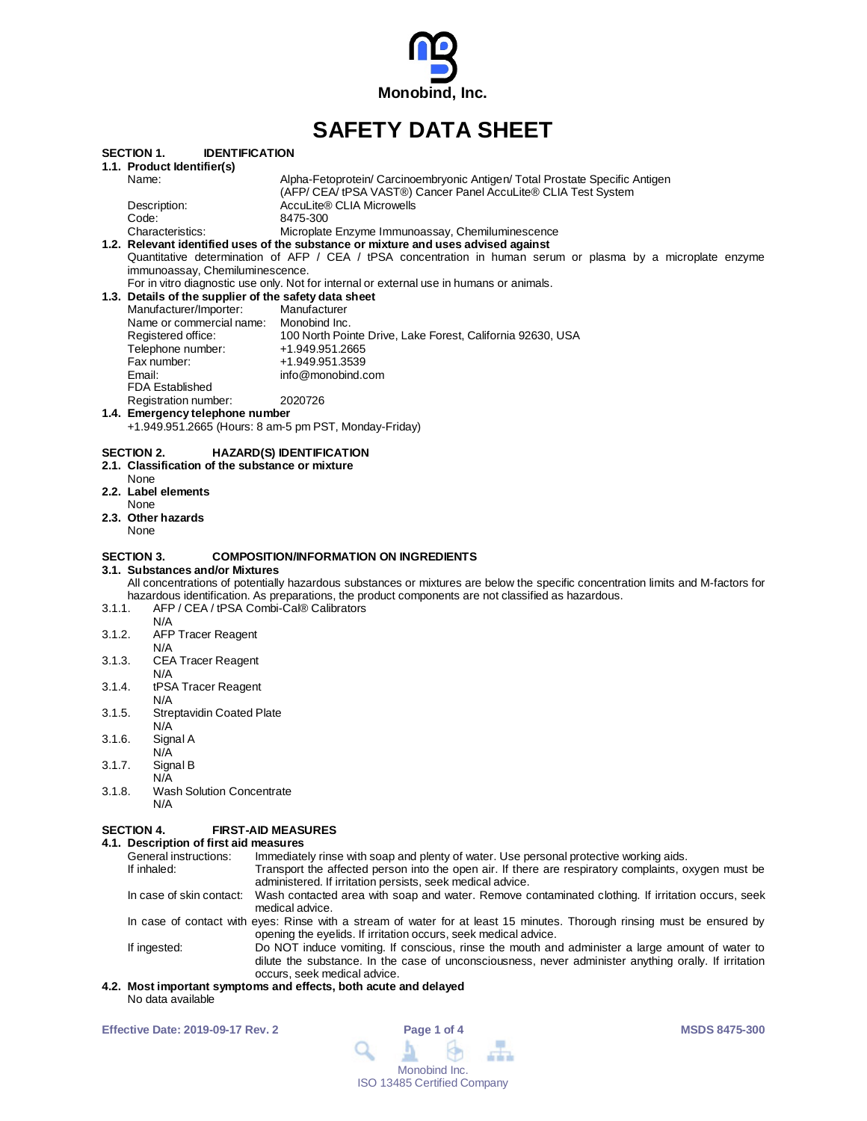

# **SAFETY DATA SHEET**

| SAFEIY DATA SHEEI                                     |                                                                                                                             |                                                                                                                                                                                                                                          |  |  |  |  |  |  |  |  |
|-------------------------------------------------------|-----------------------------------------------------------------------------------------------------------------------------|------------------------------------------------------------------------------------------------------------------------------------------------------------------------------------------------------------------------------------------|--|--|--|--|--|--|--|--|
| <b>SECTION 1.</b><br><b>IDENTIFICATION</b>            |                                                                                                                             |                                                                                                                                                                                                                                          |  |  |  |  |  |  |  |  |
|                                                       | 1.1. Product Identifier(s)                                                                                                  |                                                                                                                                                                                                                                          |  |  |  |  |  |  |  |  |
|                                                       | Name:                                                                                                                       | Alpha-Fetoprotein/ Carcinoembryonic Antigen/ Total Prostate Specific Antigen                                                                                                                                                             |  |  |  |  |  |  |  |  |
|                                                       | Description:                                                                                                                | (AFP/ CEA/ tPSA VAST®) Cancer Panel AccuLite® CLIA Test System<br>AccuLite® CLIA Microwells                                                                                                                                              |  |  |  |  |  |  |  |  |
|                                                       | Code:                                                                                                                       | 8475-300                                                                                                                                                                                                                                 |  |  |  |  |  |  |  |  |
|                                                       | Characteristics:                                                                                                            | Microplate Enzyme Immunoassay, Chemiluminescence                                                                                                                                                                                         |  |  |  |  |  |  |  |  |
|                                                       | 1.2. Relevant identified uses of the substance or mixture and uses advised against                                          |                                                                                                                                                                                                                                          |  |  |  |  |  |  |  |  |
|                                                       |                                                                                                                             | Quantitative determination of AFP / CEA / tPSA concentration in human serum or plasma by a microplate enzyme                                                                                                                             |  |  |  |  |  |  |  |  |
|                                                       | immunoassay, Chemiluminescence.<br>For in vitro diagnostic use only. Not for internal or external use in humans or animals. |                                                                                                                                                                                                                                          |  |  |  |  |  |  |  |  |
|                                                       | 1.3. Details of the supplier of the safety data sheet                                                                       |                                                                                                                                                                                                                                          |  |  |  |  |  |  |  |  |
|                                                       | Manufacturer/Importer:                                                                                                      | Manufacturer                                                                                                                                                                                                                             |  |  |  |  |  |  |  |  |
|                                                       | Name or commercial name:                                                                                                    | Monobind Inc.                                                                                                                                                                                                                            |  |  |  |  |  |  |  |  |
|                                                       | Registered office:<br>Telephone number:                                                                                     | 100 North Pointe Drive, Lake Forest, California 92630, USA<br>+1.949.951.2665                                                                                                                                                            |  |  |  |  |  |  |  |  |
|                                                       | Fax number:                                                                                                                 | +1.949.951.3539                                                                                                                                                                                                                          |  |  |  |  |  |  |  |  |
|                                                       | Email:                                                                                                                      | info@monobind.com                                                                                                                                                                                                                        |  |  |  |  |  |  |  |  |
|                                                       | <b>FDA Established</b>                                                                                                      |                                                                                                                                                                                                                                          |  |  |  |  |  |  |  |  |
|                                                       | Registration number:                                                                                                        | 2020726                                                                                                                                                                                                                                  |  |  |  |  |  |  |  |  |
|                                                       | 1.4. Emergency telephone number                                                                                             |                                                                                                                                                                                                                                          |  |  |  |  |  |  |  |  |
| +1.949.951.2665 (Hours: 8 am-5 pm PST, Monday-Friday) |                                                                                                                             |                                                                                                                                                                                                                                          |  |  |  |  |  |  |  |  |
|                                                       | SECTION 2.                                                                                                                  | <b>HAZARD(S) IDENTIFICATION</b>                                                                                                                                                                                                          |  |  |  |  |  |  |  |  |
|                                                       | 2.1. Classification of the substance or mixture                                                                             |                                                                                                                                                                                                                                          |  |  |  |  |  |  |  |  |
|                                                       | None<br>2.2. Label elements                                                                                                 |                                                                                                                                                                                                                                          |  |  |  |  |  |  |  |  |
|                                                       | None                                                                                                                        |                                                                                                                                                                                                                                          |  |  |  |  |  |  |  |  |
|                                                       | 2.3. Other hazards                                                                                                          |                                                                                                                                                                                                                                          |  |  |  |  |  |  |  |  |
|                                                       | None                                                                                                                        |                                                                                                                                                                                                                                          |  |  |  |  |  |  |  |  |
|                                                       | <b>SECTION 3.</b>                                                                                                           | <b>COMPOSITION/INFORMATION ON INGREDIENTS</b>                                                                                                                                                                                            |  |  |  |  |  |  |  |  |
|                                                       | 3.1. Substances and/or Mixtures                                                                                             |                                                                                                                                                                                                                                          |  |  |  |  |  |  |  |  |
|                                                       |                                                                                                                             | All concentrations of potentially hazardous substances or mixtures are below the specific concentration limits and M-factors for                                                                                                         |  |  |  |  |  |  |  |  |
| 3.1.1.                                                |                                                                                                                             | hazardous identification. As preparations, the product components are not classified as hazardous.<br>AFP / CEA / tPSA Combi-Cal® Calibrators                                                                                            |  |  |  |  |  |  |  |  |
|                                                       | N/A                                                                                                                         |                                                                                                                                                                                                                                          |  |  |  |  |  |  |  |  |
| 3.1.2.                                                | <b>AFP Tracer Reagent</b>                                                                                                   |                                                                                                                                                                                                                                          |  |  |  |  |  |  |  |  |
|                                                       | N/A                                                                                                                         |                                                                                                                                                                                                                                          |  |  |  |  |  |  |  |  |
| 3.1.3.                                                | <b>CEA Tracer Reagent</b>                                                                                                   |                                                                                                                                                                                                                                          |  |  |  |  |  |  |  |  |
| 3.1.4.                                                | N/A<br>tPSA Tracer Reagent                                                                                                  |                                                                                                                                                                                                                                          |  |  |  |  |  |  |  |  |
|                                                       | N/A                                                                                                                         |                                                                                                                                                                                                                                          |  |  |  |  |  |  |  |  |
| 3.1.5.                                                | <b>Streptavidin Coated Plate</b>                                                                                            |                                                                                                                                                                                                                                          |  |  |  |  |  |  |  |  |
|                                                       | N/A                                                                                                                         |                                                                                                                                                                                                                                          |  |  |  |  |  |  |  |  |
| 3.1.6.                                                | Signal A<br>N/A                                                                                                             |                                                                                                                                                                                                                                          |  |  |  |  |  |  |  |  |
| 3.1.7.                                                | Signal B                                                                                                                    |                                                                                                                                                                                                                                          |  |  |  |  |  |  |  |  |
|                                                       | N/A                                                                                                                         |                                                                                                                                                                                                                                          |  |  |  |  |  |  |  |  |
| 3.1.8.                                                | <b>Wash Solution Concentrate</b>                                                                                            |                                                                                                                                                                                                                                          |  |  |  |  |  |  |  |  |
|                                                       | N/A                                                                                                                         |                                                                                                                                                                                                                                          |  |  |  |  |  |  |  |  |
|                                                       | <b>SECTION 4.</b>                                                                                                           | <b>FIRST-AID MEASURES</b>                                                                                                                                                                                                                |  |  |  |  |  |  |  |  |
|                                                       | 4.1. Description of first aid measures                                                                                      |                                                                                                                                                                                                                                          |  |  |  |  |  |  |  |  |
|                                                       | General instructions:<br>If inhaled:                                                                                        | Immediately rinse with soap and plenty of water. Use personal protective working aids.<br>Transport the affected person into the open air. If there are respiratory complaints, oxygen must be                                           |  |  |  |  |  |  |  |  |
|                                                       | In case of skin contact:                                                                                                    | administered. If irritation persists, seek medical advice.<br>Wash contacted area with soap and water. Remove contaminated clothing. If irritation occurs, seek<br>medical advice.                                                       |  |  |  |  |  |  |  |  |
|                                                       |                                                                                                                             | In case of contact with eyes: Rinse with a stream of water for at least 15 minutes. Thorough rinsing must be ensured by<br>opening the eyelids. If irritation occurs, seek medical advice.                                               |  |  |  |  |  |  |  |  |
|                                                       | If ingested:                                                                                                                | Do NOT induce vomiting. If conscious, rinse the mouth and administer a large amount of water to<br>dilute the substance. In the case of unconsciousness, never administer anything orally. If irritation<br>occurs, seek medical advice. |  |  |  |  |  |  |  |  |

#### **4.2. Most important symptoms and effects, both acute and delayed** No data available

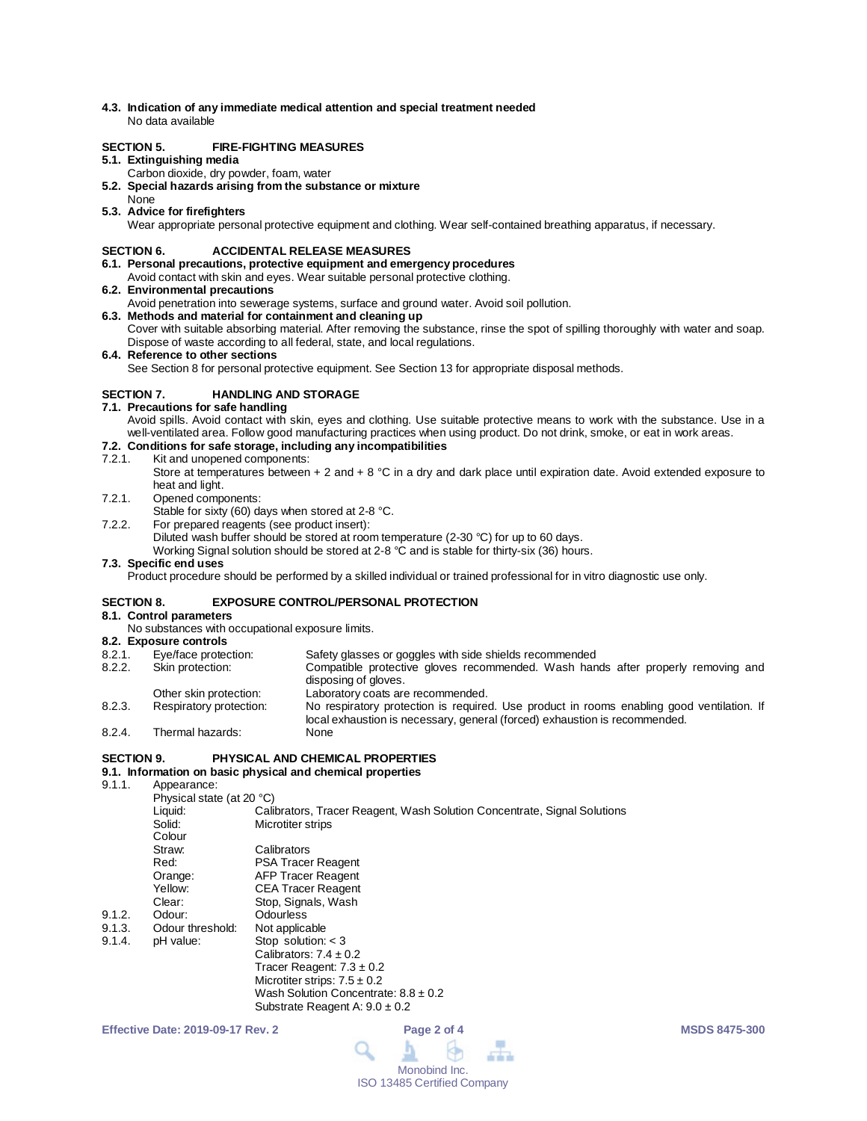**4.3. Indication of any immediate medical attention and special treatment needed** No data available

## **SECTION 5. FIRE-FIGHTING MEASURES**

#### **5.1. Extinguishing media**

- Carbon dioxide, dry powder, foam, water
- **5.2. Special hazards arising from the substance or mixture**
- None
- **5.3. Advice for firefighters** Wear appropriate personal protective equipment and clothing. Wear self-contained breathing apparatus, if necessary.

### **SECTION 6. ACCIDENTAL RELEASE MEASURES**

- **6.1. Personal precautions, protective equipment and emergency procedures**
- Avoid contact with skin and eyes. Wear suitable personal protective clothing.
- **6.2. Environmental precautions**
- Avoid penetration into sewerage systems, surface and ground water. Avoid soil pollution.
- **6.3. Methods and material for containment and cleaning up** Cover with suitable absorbing material. After removing the substance, rinse the spot of spilling thoroughly with water and soap. Dispose of waste according to all federal, state, and local regulations.

**6.4. Reference to other sections**

See Section 8 for personal protective equipment. See Section 13 for appropriate disposal methods.

## **SECTION 7. HANDLING AND STORAGE**

- **7.1. Precautions for safe handling**
	- Avoid spills. Avoid contact with skin, eyes and clothing. Use suitable protective means to work with the substance. Use in a well-ventilated area. Follow good manufacturing practices when using product. Do not drink, smoke, or eat in work areas.

# **7.2. Conditions for safe storage, including any incompatibilities**

- Kit and unopened components:
	- Store at temperatures between + 2 and + 8 °C in a dry and dark place until expiration date. Avoid extended exposure to heat and light.
- 7.2.1. Opened components:
	- Stable for sixty (60) days when stored at 2-8 °C.
- 7.2.2. For prepared reagents (see product insert):

Diluted wash buffer should be stored at room temperature (2-30 °C) for up to 60 days.

Working Signal solution should be stored at 2-8 °C and is stable for thirty-six (36) hours.

#### **7.3. Specific end uses**

Product procedure should be performed by a skilled individual or trained professional for in vitro diagnostic use only.

## **SECTION 8. EXPOSURE CONTROL/PERSONAL PROTECTION**

# **8.1. Control parameters**

- No substances with occupational exposure limits.
- **8.2. Exposure controls**
- Eye/face protection: Safety glasses or goggles with side shields recommended<br>Skin protection: Compatible protective gloves recommended. Wash han
- 8.2.2. Skin protection: Compatible protective gloves recommended. Wash hands after properly removing and disposing of gloves.
- Other skin protection: Laboratory coats are recommended.<br>
Respiratory protection: No respiratory protection is required 8.2.3. Respiratory protection: No respiratory protection is required. Use product in rooms enabling good ventilation. If local exhaustion is necessary, general (forced) exhaustion is recommended. 8.2.4. Thermal hazards:

#### **SECTION 9. PHYSICAL AND CHEMICAL PROPERTIES**

# **9.1. Information on basic physical and chemical properties**

Appearance:

| Physical state (at 20 °C) |                                                                          |  |  |  |
|---------------------------|--------------------------------------------------------------------------|--|--|--|
| Liquid:                   | Calibrators, Tracer Reagent, Wash Solution Concentrate, Signal Solutions |  |  |  |
| Solid:                    | Microtiter strips                                                        |  |  |  |
| Colour                    |                                                                          |  |  |  |
| Straw:                    | Calibrators                                                              |  |  |  |
| Red:                      | <b>PSA Tracer Reagent</b>                                                |  |  |  |
| Orange:                   | AFP Tracer Reagent                                                       |  |  |  |
| Yellow:                   | <b>CEA Tracer Reagent</b>                                                |  |  |  |
| Clear:                    | Stop, Signals, Wash                                                      |  |  |  |
| Odour:                    | Odourless                                                                |  |  |  |
| Odour threshold:          | Not applicable                                                           |  |  |  |
| pH value:                 | Stop solution: $<$ 3                                                     |  |  |  |
|                           | Calibrators: $7.4 \pm 0.2$                                               |  |  |  |
|                           | Tracer Reagent: $7.3 \pm 0.2$                                            |  |  |  |
|                           | Microtiter strips: $7.5 \pm 0.2$                                         |  |  |  |
|                           | Wash Solution Concentrate: $8.8 \pm 0.2$                                 |  |  |  |
|                           |                                                                          |  |  |  |

Substrate Reagent A:  $9.0 \pm 0.2$ 

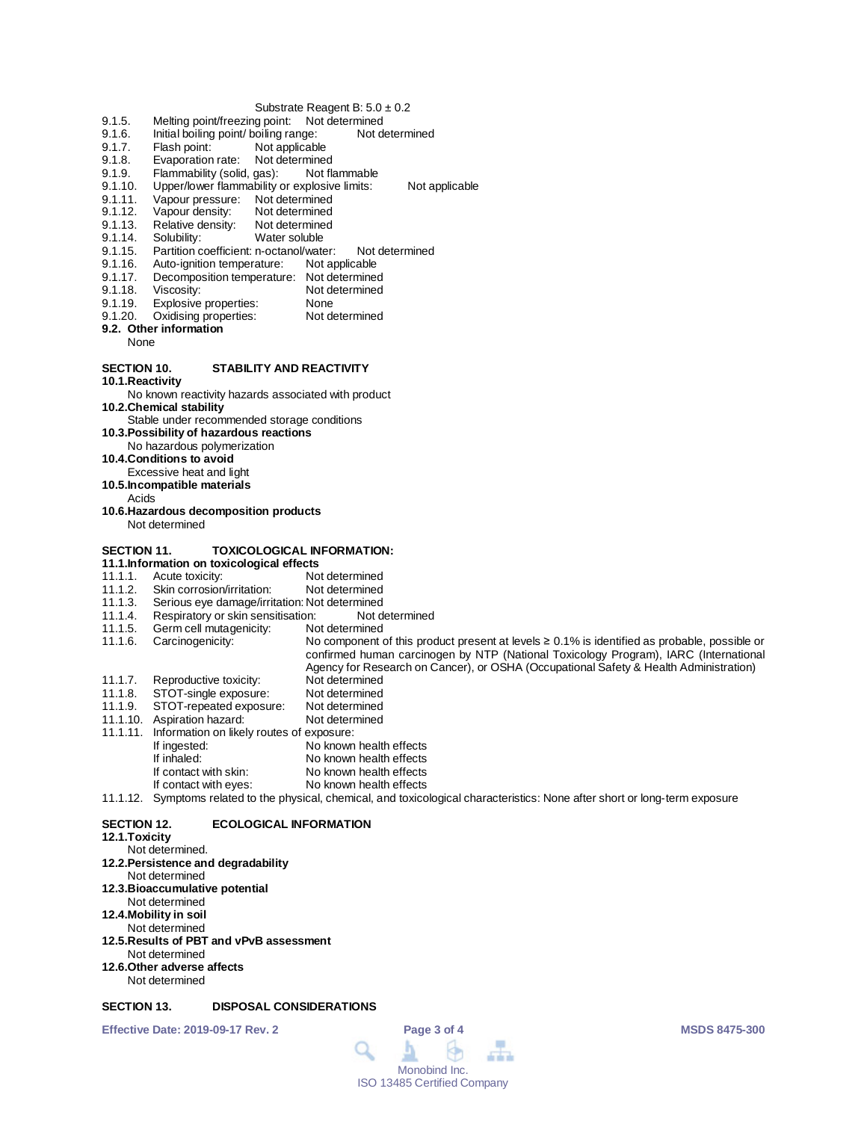#### Substrate Reagent B:  $5.0 \pm 0.2$

- 
- 9.1.5. Melting point/freezing point: Not determined<br>9.1.6. Initial boiling point/ boiling range: Not determined 9.1.6. Initial boiling point/ boiling range:<br>9.1.7. Flash point: Not applicable
- Not applicable
- 
- 9.1.8. Evaporation rate: Not determined<br>9.1.9. Flammability (solid. gas): Not flammable 9.1.9. Flammability (solid, gas):<br>9.1.10. Upper/lower flammability of
- 9.1.10. Upper/lower flammability or explosive limits: Not applicable<br>9.1.11. Vapour pressure: Not determined
- 9.1.11. Vapour pressure: Not determined<br>9.1.12. Vapour density: Not determined
- 9.1.12. Vapour density: Not determined<br>9.1.13. Relative density: Not determined
- 9.1.13. Relative density:<br>9.1.14. Solubility:
- 
- 9.1.14. Solubility: Water soluble<br>9.1.15. Partition coefficient: n-octanol/wate 9.1.15. Partition coefficient: n-octanol/water: Not determined<br>9.1.16. Auto-ignition temperature: Not applicable
- 9.1.16. Auto-ignition temperature:<br>9.1.17. Decomposition temperatur
- 9.1.17. Decomposition temperature: Not determined<br>9.1.18. Viscosity: Not determined
- 
- 9.1.18. Viscosity: Not determined<br>9.1.19. Explosive properties: None
- 9.1.19. Explosive properties: None<br>9.1.20. Oxidising properties: Not determined Oxidising properties:
- **9.2. Other information**
	- None

## **SECTION 10. STABILITY AND REACTIVITY**

**10.1.Reactivity**

No known reactivity hazards associated with product

**10.2.Chemical stability**

Stable under recommended storage conditions

- **10.3.Possibility of hazardous reactions**
- No hazardous polymerization
- **10.4.Conditions to avoid**
- Excessive heat and light
- **10.5.Incompatible materials**
	- Acids
- **10.6.Hazardous decomposition products** Not determined
- **SECTION 11. TOXICOLOGICAL INFORMATION:**
- 
- **11.1.Information on toxicological effects** 11.1.1. Acute toxicity:<br>11.1.2. Skin corrosion/irritation: Not determined
- 11.1.2. Skin corrosion/irritation:<br>11.1.3. Serious eye damage/irri
- 
- 11.1.3. Serious eye damage/irritation: Not determined<br>11.1.4. Respiratory or skin sensitisation: Not determined 11.1.4. Respiratory or skin sensitisation: Not d<br>11.1.5. Germ cell mutagenicity: Not determined
- Germ cell mutagenicity:

11.1.6. Carcinogenicity: No component of this product present at levels ≥ 0.1% is identified as probable, possible or confirmed human carcinogen by NTP (National Toxicology Program), IARC (International Agency for Research on Cancer), or OSHA (Occupational Safety & Health Administration)

- 11.1.7. Reproductive toxicity: Not determined<br>11.1.8. STOT-single exposure: Not determined
- 11.1.8. STOT-single exposure: Not determined<br>11.1.9. STOT-repeated exposure: Not determined
- STOT-repeated exposure: Not determined<br>Aspiration hazard: Not determined 11.1.10. Aspiration hazard:
- 
- 11.1.11. Information on likely routes of exposure: No known health effects
- 
- If inhaled: No known health effects<br>If contact with skin: No known health effects
- If contact with skin: No known health effects<br>If contact with eyes: No known health effects No known health effects
- 11.1.12. Symptoms related to the physical, chemical, and toxicological characteristics: None after short or long-term exposure

### **SECTION 12. ECOLOGICAL INFORMATION**

#### **12.1.Toxicity**

Not determined. **12.2.Persistence and degradability** Not determined **12.3.Bioaccumulative potential** Not determined **12.4.Mobility in soil** Not determined **12.5.Results of PBT and vPvB assessment** Not determined **12.6.Other adverse affects** Not determined

## **SECTION 13. DISPOSAL CONSIDERATIONS**